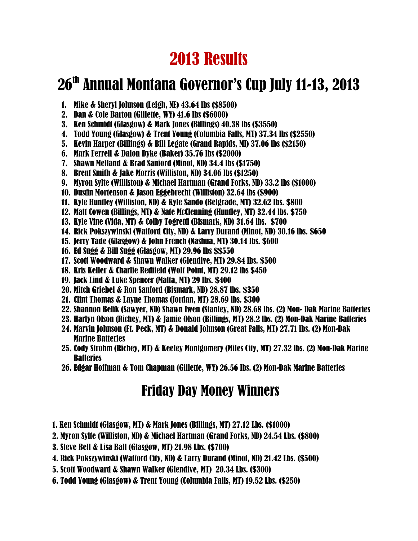# 2013 Results

# 26<sup>th</sup> Annual Montana Governor's Cup July 11-13, 2013

- 1. Mike & Sheryl Johnson (Leigh, NE) 43.64 lbs (\$8500)
- 2. Dan & Cole Barton (Gillette, WY) 41.6 lbs (\$6000)
- 3. Ken Schmidt (Glasgow) & Mark Jones (Billings) 40.38 lbs (\$3550)
- 4. Todd Young (Glasgow) & Trent Young (Columbia Falls, MT) 37.34 lbs (\$2550)
- 5. Kevin Harper (Billings) & Bill Legate (Grand Rapids, MI) 37.06 lbs (\$2150)
- 6. Mark Ferrell & Dalon Dyke (Baker) 35.76 lbs (\$2000)
- 7. Shawn Melland & Brad Sanford (Minot, ND) 34.4 lbs (\$1750)
- 8. Brent Smith & Jake Morris (Williston, ND) 34.06 lbs (\$1250)
- 9. Myron Sylte (Williston) & Michael Hartman (Grand Forks, ND) 33.2 lbs (\$1000)
- 10. Dustin Mortenson & Jason Eggebrecht (Williston) 32.64 lbs (\$900)
- 11. Kyle Huntley (Williston, ND) & Kyle Sando (Belgrade, MT) 32.62 lbs. \$800
- 12. Matt Cowen (Billings, MT) & Nate McClenning (Huntley, MT) 32.44 lbs. \$750
- 13. Kyle Vine (Vida, MT) & Colby Togretti (Bismark, ND) 31.64 lbs. \$700
- 14. Rick Pokszywinski (Watford City, ND) & Larry Durand (Minot, ND) 30.16 lbs. \$650
- 15. Jerry Tade (Glasgow) & John French (Nashua, MT) 30.14 lbs. \$600
- 16. Ed Sugg & Bill Sugg (Glasgow, MT) 29.96 lbs \$\$550
- 17. Scott Woodward & Shawn Walker (Glendive, MT) 29.84 lbs. \$500
- 18. Kris Keller & Charlie Redfield (Wolf Point, MT) 29.12 lbs \$450
- 19. Jack Lind & Luke Spencer (Malta, MT) 29 lbs. \$400
- 20. Mitch Griebel & Ron Sanford (Bismark, ND) 28.87 lbs. \$350
- 21. Clint Thomas & Layne Thomas (Jordan, MT) 28.69 lbs. \$300
- 22. Shannon Belik (Sawyer, ND) Shawn Iwen (Stanley, ND) 28.68 lbs. (2) Mon- Dak Marine Batteries
- 23. Harlyn Olson (Richey, MT) & Jamie Olson (Billings, MT) 28.2 lbs. (2) Mon-Dak Marine Batteries
- 24. Marvin Johnson (Ft. Peck, MT) & Donald Johnson (Great Falls, MT) 27.71 lbs. (2) Mon-Dak Marine Batteries
- 25. Cody Strohm (Richey, MT) & Keeley Montgomery (Miles City, MT) 27.32 lbs. (2) Mon-Dak Marine **Batteries**
- 26. Edgar Hoffman & Tom Chapman (Gillette, WY) 26.56 lbs. (2) Mon-Dak Marine Batteries

### Friday Day Money Winners

- 1. Ken Schmidt (Glasgow, MT) & Mark Jones (Billings, MT) 27.12 Lbs. (\$1000)
- 2. Myron Sylte (Williston, ND) & Michael Hartman (Grand Forks, ND) 24.54 Lbs. (\$800)
- 3. Steve Bell & Lisa Ball (Glasgow, MT) 21.98 Lbs. (\$700)
- 4. Rick Pokszywinski (Watford City, ND) & Larry Durand (Minot, ND) 21.42 Lbs. (\$500)
- 5. Scott Woodward & Shawn Walker (Glendive, MT) 20.34 Lbs. (\$300)
- 6. Todd Young (Glasgow) & Trent Young (Columbia Falls, MT) 19.52 Lbs. (\$250)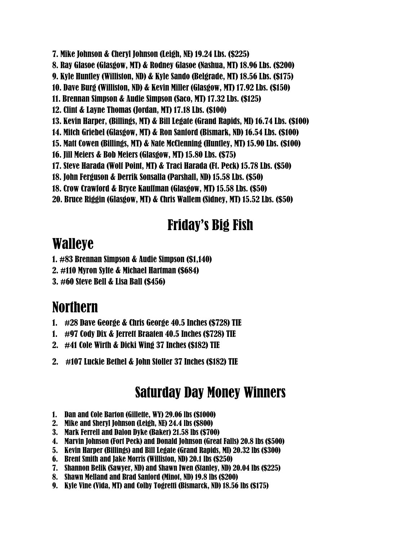- 7. Mike Johnson & Cheryl Johnson (Leigh, NE) 19.24 Lbs. (\$225)
- 8. Ray Glasoe (Glasgow, MT) & Rodney Glasoe (Nashua, MT) 18.96 Lbs. (\$200)
- 9. Kyle Huntley (Williston, ND) & Kyle Sando (Belgrade, MT) 18.56 Lbs. (\$175)
- 10. Dave Burg (Williston, ND) & Kevin Miller (Glasgow, MT) 17.92 Lbs. (\$150)
- 11. Brennan Simpson & Audie Simpson (Saco, MT) 17.32 Lbs. (\$125)
- 12. Clint & Layne Thomas (Jordan, MT) 17.18 Lbs. (\$100)
- 13. Kevin Harper, (Billings, MT) & Bill Legate (Grand Rapids, MI) 16.74 Lbs. (\$100)
- 14. Mitch Griebel (Glasgow, MT) & Ron Sanford (Bismark, ND) 16.54 Lbs. (\$100)
- 15. Matt Cowen (Billings, MT) & Nate McClenning (Huntley, MT) 15.90 Lbs. (\$100)
- 16. Jill Meiers & Bob Meiers (Glasgow, MT) 15.80 Lbs. (\$75)
- 17. Steve Harada (Wolf Point, MT) & Traci Harada (Ft. Peck) 15.78 Lbs. (\$50)
- 18. John Ferguson & Derrik Sonsalla (Parshall, ND) 15.58 Lbs. (\$50)
- 18. Crow Crawford & Bryce Kauffman (Glasgow, MT) 15.58 Lbs. (\$50)
- 20. Bruce Riggin (Glasgow, MT) & Chris Wallem (Sidney, MT) 15.52 Lbs. (\$50)

### Friday's Big Fish

### Walleye

- 1. #83 Brennan Simpson & Audie Simpson (\$1,140)
- 2. #110 Myron Sylte & Michael Hartman (\$684)
- 3. #60 Steve Bell & Lisa Ball (\$456)

# Northern

- 1. #28 Dave George & Chris George 40.5 Inches (\$728) TIE
- 1. #97 Cody Dix & Jerrett Braaten 40.5 Inches (\$728) TIE
- 2. #41 Cole Wirth & Dicki Wing 37 Inches (\$182) TIE
- 2. #107 Luckie Bethel & John Stoller 37 Inches (\$182) TIE

### Saturday Day Money Winners

- 1. Dan and Cole Barton (Gillette, WY) 29.06 lbs (\$1000)
- 2. Mike and Sheryl Johnson (Leigh, NE) 24.4 lbs (\$800)
- 3. Mark Ferrell and Dalon Dyke (Baker) 21.58 lbs (\$700)
- 4. Marvin Johnson (Fort Peck) and Donald Johnson (Great Falls) 20.8 lbs (\$500)
- 5. Kevin Harper (Billings) and Bill Legate (Grand Rapids, MI) 20.32 lbs (\$300)
- 6. Brent Smith and Jake Morris (Williston, ND) 20.1 lbs (\$250)
- 7. Shannon Belik (Sawyer, ND) and Shawn Iwen (Stanley, ND) 20.04 lbs (\$225)
- 8. Shawn Melland and Brad Sanford (Minot, ND) 19.8 lbs (\$200)
- 9. Kyle Vine (Vida, MT) and Colby Togretti (Bismarck, ND) 18.56 lbs (\$175)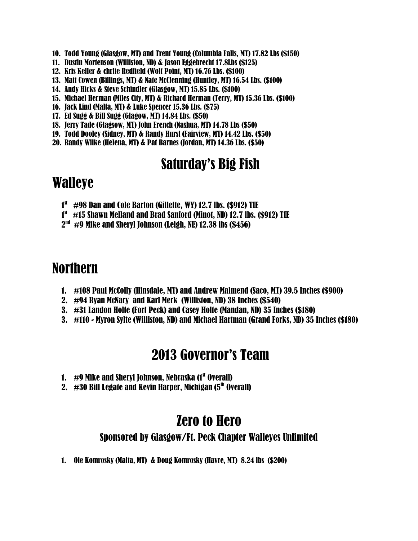- 10. Todd Young (Glasgow, MT) and Trent Young (Columbia Falls, MT) 17.82 Lbs (\$150)
- 11. Dustin Mortenson (Williston, ND) & Jason Eggebrecht 17.8Lbs (\$125)
- 12. Kris Keller & chrlie Redfield (Wolf Point, MT) 16.76 Lbs. (\$100)
- 13. Matt Cowen (Billings, MT) & Nate McClenning (Huntley, MT) 16.54 Lbs. (\$100)
- 14. Andy Hicks & Steve Schindler (Glasgow, MT) 15.85 Lbs. (\$100)
- 15. Michael Herman (Miles City, MT) & Richard Herman (Terry, MT) 15.36 Lbs. (\$100)
- 16. Jack Lind (Malta, MT) & Luke Spencer 15.36 Lbs. (\$75)
- 17. Ed Sugg & Bill Sugg (Glagow, MT) 14.84 Lbs. (\$50)
- 18. Jerry Tade (Glagsow, MT) John French (Nashua, MT) 14.78 Lbs (\$50)
- 19. Todd Dooley (Sidney, MT) & Randy Hurst (Fairview, MT) 14.42 Lbs. (\$50)
- 20. Randy Wilke (Helena, MT) & Pat Barnes (Jordan, MT) 14.36 Lbs. (\$50)

### Saturday's Big Fish

#### Walleye

- $1^\text{st}$  #98 Dan and Cole Barton (Gillette, WY) 12.7 lbs. (\$912) TIE
- 1st  $\#$ 15 Shawn Melland and Brad Sanford (Minot, ND) 12.7 lbs. (\$912) TIE
- $2^{\text{\tiny{nd}}}$  #9 Mike and Sheryl Johnson (Leigh, NE) 12.38 lbs (\$456)

### Northern

- 1. #108 Paul McColly (Hinsdale, MT) and Andrew Malmend (Saco, MT) 39.5 Inches (\$900)
- 2. #94 Ryan McNary and Karl Merk (Williston, ND) 38 Inches (\$540)
- 3. #31 Landon Holte (Fort Peck) and Casey Holte (Mandan, ND) 35 Inches (\$180)
- 3. #110 Myron Sylte (Williston, ND) and Michael Hartman (Grand Forks, ND) 35 Inches (\$180)

#### 2013 Governor's Team

- 1.  $\#9$  Mike and Sheryl Johnson, Nebraska (1st Overall)
- 2.  $\#30$  Bill Legate and Kevin Harper, Michigan (5<sup>th</sup> Overall)

#### Zero to Hero

#### Sponsored by Glasgow/Ft. Peck Chapter Walleyes Unlimited

1. Ole Komrosky (Malta, MT) & Doug Komrosky (Havre, MT) 8.24 lbs (\$200)